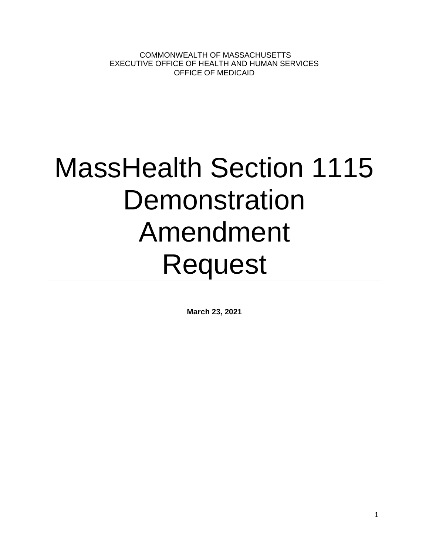COMMONWEALTH OF MASSACHUSETTS EXECUTIVE OFFICE OF HEALTH AND HUMAN SERVICES OFFICE OF MEDICAID

# MassHealth Section 1115 **Demonstration** Amendment Request

**March 23, 2021**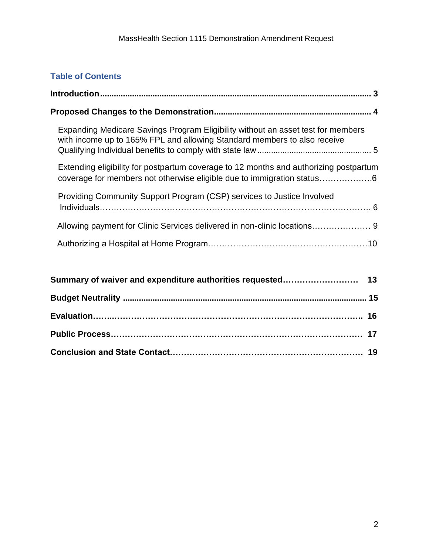# **Table of Contents**

| Expanding Medicare Savings Program Eligibility without an asset test for members<br>with income up to 165% FPL and allowing Standard members to also receive    |  |  |  |  |
|-----------------------------------------------------------------------------------------------------------------------------------------------------------------|--|--|--|--|
| Extending eligibility for postpartum coverage to 12 months and authorizing postpartum<br>coverage for members not otherwise eligible due to immigration status6 |  |  |  |  |
| Providing Community Support Program (CSP) services to Justice Involved                                                                                          |  |  |  |  |
|                                                                                                                                                                 |  |  |  |  |
|                                                                                                                                                                 |  |  |  |  |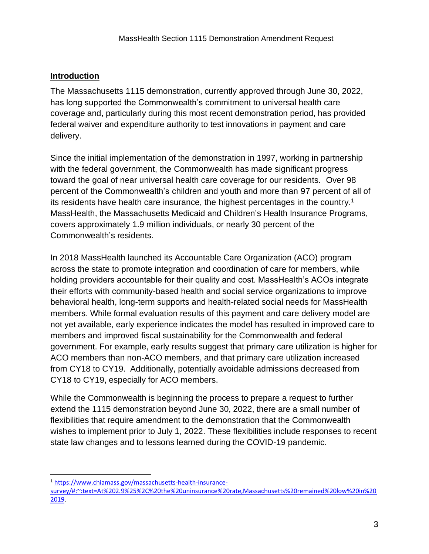#### **Introduction**

The Massachusetts 1115 demonstration, currently approved through June 30, 2022, has long supported the Commonwealth's commitment to universal health care coverage and, particularly during this most recent demonstration period, has provided federal waiver and expenditure authority to test innovations in payment and care delivery.

Since the initial implementation of the demonstration in 1997, working in partnership with the federal government, the Commonwealth has made significant progress toward the goal of near universal health care coverage for our residents. Over 98 percent of the Commonwealth's children and youth and more than 97 percent of all of its residents have health care insurance, the highest percentages in the country.<sup>1</sup> MassHealth, the Massachusetts Medicaid and Children's Health Insurance Programs, covers approximately 1.9 million individuals, or nearly 30 percent of the Commonwealth's residents.

In 2018 MassHealth launched its Accountable Care Organization (ACO) program across the state to promote integration and coordination of care for members, while holding providers accountable for their quality and cost. MassHealth's ACOs integrate their efforts with community-based health and social service organizations to improve behavioral health, long-term supports and health-related social needs for MassHealth members. While formal evaluation results of this payment and care delivery model are not yet available, early experience indicates the model has resulted in improved care to members and improved fiscal sustainability for the Commonwealth and federal government. For example, early results suggest that primary care utilization is higher for ACO members than non-ACO members, and that primary care utilization increased from CY18 to CY19. Additionally, potentially avoidable admissions decreased from CY18 to CY19, especially for ACO members.

While the Commonwealth is beginning the process to prepare a request to further extend the 1115 demonstration beyond June 30, 2022, there are a small number of flexibilities that require amendment to the demonstration that the Commonwealth wishes to implement prior to July 1, 2022. These flexibilities include responses to recent state law changes and to lessons learned during the COVID-19 pandemic.

<sup>1</sup> [https://www.chiamass.gov/massachusetts-health-insurance-](https://www.chiamass.gov/massachusetts-health-insurance-survey/#:~:text=At%202.9%25%2C%20the%20uninsurance%20rate,Massachusetts%20remained%20low%20in%202019)

[survey/#:~:text=At%202.9%25%2C%20the%20uninsurance%20rate,Massachusetts%20remained%20low%20in%20](https://www.chiamass.gov/massachusetts-health-insurance-survey/#:~:text=At%202.9%25%2C%20the%20uninsurance%20rate,Massachusetts%20remained%20low%20in%202019) [2019.](https://www.chiamass.gov/massachusetts-health-insurance-survey/#:~:text=At%202.9%25%2C%20the%20uninsurance%20rate,Massachusetts%20remained%20low%20in%202019)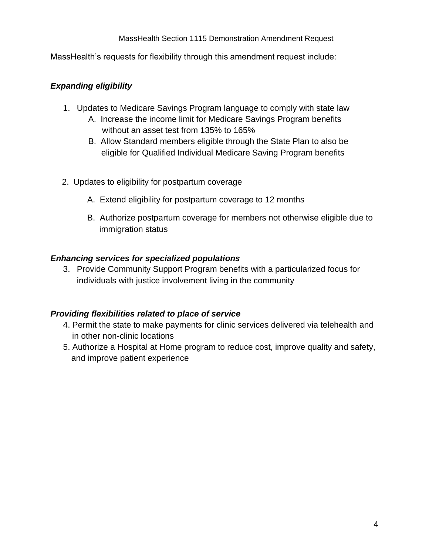MassHealth's requests for flexibility through this amendment request include:

#### *Expanding eligibility*

- 1. Updates to Medicare Savings Program language to comply with state law
	- A. Increase the income limit for Medicare Savings Program benefits without an asset test from 135% to 165%
	- B. Allow Standard members eligible through the State Plan to also be eligible for Qualified Individual Medicare Saving Program benefits
- 2. Updates to eligibility for postpartum coverage
	- A. Extend eligibility for postpartum coverage to 12 months
	- B. Authorize postpartum coverage for members not otherwise eligible due to immigration status

#### *Enhancing services for specialized populations*

3. Provide Community Support Program benefits with a particularized focus for individuals with justice involvement living in the community

#### *Providing flexibilities related to place of service*

- 4. Permit the state to make payments for clinic services delivered via telehealth and in other non-clinic locations
- 5. Authorize a Hospital at Home program to reduce cost, improve quality and safety, and improve patient experience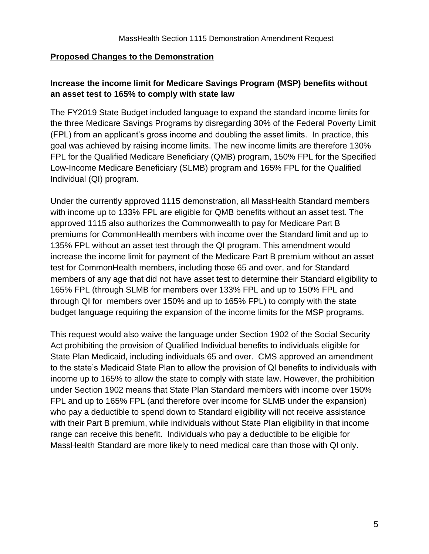#### **Proposed Changes to the Demonstration**

# **Increase the income limit for Medicare Savings Program (MSP) benefits without an asset test to 165% to comply with state law**

The FY2019 State Budget included language to expand the standard income limits for the three Medicare Savings Programs by disregarding 30% of the Federal Poverty Limit (FPL) from an applicant's gross income and doubling the asset limits. In practice, this goal was achieved by raising income limits. The new income limits are therefore 130% FPL for the Qualified Medicare Beneficiary (QMB) program, 150% FPL for the Specified Low-Income Medicare Beneficiary (SLMB) program and 165% FPL for the Qualified Individual (QI) program.

Under the currently approved 1115 demonstration, all MassHealth Standard members with income up to 133% FPL are eligible for QMB benefits without an asset test. The approved 1115 also authorizes the Commonwealth to pay for Medicare Part B premiums for CommonHealth members with income over the Standard limit and up to 135% FPL without an asset test through the QI program. This amendment would increase the income limit for payment of the Medicare Part B premium without an asset test for CommonHealth members, including those 65 and over, and for Standard members of any age that did not have asset test to determine their Standard eligibility to 165% FPL (through SLMB for members over 133% FPL and up to 150% FPL and through QI for members over 150% and up to 165% FPL) to comply with the state budget language requiring the expansion of the income limits for the MSP programs.

This request would also waive the language under Section 1902 of the Social Security Act prohibiting the provision of Qualified Individual benefits to individuals eligible for State Plan Medicaid, including individuals 65 and over. CMS approved an amendment to the state's Medicaid State Plan to allow the provision of QI benefits to individuals with income up to 165% to allow the state to comply with state law. However, the prohibition under Section 1902 means that State Plan Standard members with income over 150% FPL and up to 165% FPL (and therefore over income for SLMB under the expansion) who pay a deductible to spend down to Standard eligibility will not receive assistance with their Part B premium, while individuals without State Plan eligibility in that income range can receive this benefit. Individuals who pay a deductible to be eligible for MassHealth Standard are more likely to need medical care than those with QI only.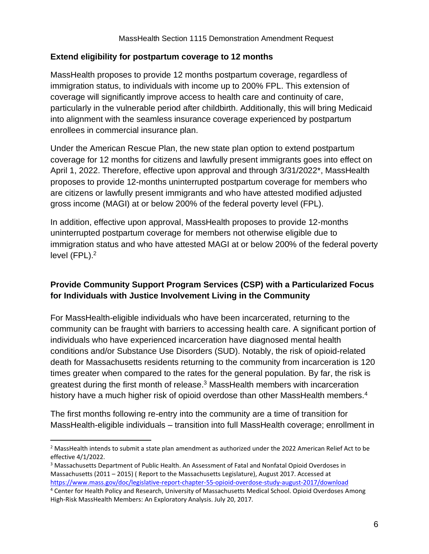#### **Extend eligibility for postpartum coverage to 12 months**

MassHealth proposes to provide 12 months postpartum coverage, regardless of immigration status, to individuals with income up to 200% FPL. This extension of coverage will significantly improve access to health care and continuity of care, particularly in the vulnerable period after childbirth. Additionally, this will bring Medicaid into alignment with the seamless insurance coverage experienced by postpartum enrollees in commercial insurance plan.

Under the American Rescue Plan, the new state plan option to extend postpartum coverage for 12 months for citizens and lawfully present immigrants goes into effect on April 1, 2022. Therefore, effective upon approval and through 3/31/2022\*, MassHealth proposes to provide 12-months uninterrupted postpartum coverage for members who are citizens or lawfully present immigrants and who have attested modified adjusted gross income (MAGI) at or below 200% of the federal poverty level (FPL).

In addition, effective upon approval, MassHealth proposes to provide 12-months uninterrupted postpartum coverage for members not otherwise eligible due to immigration status and who have attested MAGI at or below 200% of the federal poverty level (FPL).<sup>2</sup>

# **Provide Community Support Program Services (CSP) with a Particularized Focus for Individuals with Justice Involvement Living in the Community**

For MassHealth-eligible individuals who have been incarcerated, returning to the community can be fraught with barriers to accessing health care. A significant portion of individuals who have experienced incarceration have diagnosed mental health conditions and/or Substance Use Disorders (SUD). Notably, the risk of opioid-related death for Massachusetts residents returning to the community from incarceration is 120 times greater when compared to the rates for the general population. By far, the risk is greatest during the first month of release.<sup>3</sup> MassHealth members with incarceration history have a much higher risk of opioid overdose than other MassHealth members.<sup>4</sup>

The first months following re-entry into the community are a time of transition for MassHealth-eligible individuals – transition into full MassHealth coverage; enrollment in

<sup>&</sup>lt;sup>2</sup> MassHealth intends to submit a state plan amendment as authorized under the 2022 American Relief Act to be effective 4/1/2022.

<sup>3</sup> Massachusetts Department of Public Health. An Assessment of Fatal and Nonfatal Opioid Overdoses in Massachusetts (2011 – 2015) ( Report to the Massachusetts Legislature), August 2017. Accessed at <https://www.mass.gov/doc/legislative-report-chapter-55-opioid-overdose-study-august-2017/download>

<sup>4</sup> Center for Health Policy and Research, University of Massachusetts Medical School. Opioid Overdoses Among High-Risk MassHealth Members: An Exploratory Analysis. July 20, 2017.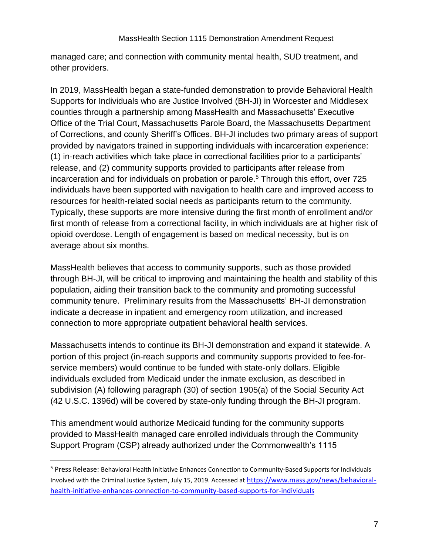managed care; and connection with community mental health, SUD treatment, and other providers.

In 2019, MassHealth began a state-funded demonstration to provide Behavioral Health Supports for Individuals who are Justice Involved (BH-JI) in Worcester and Middlesex counties through a partnership among MassHealth and Massachusetts' Executive Office of the Trial Court, Massachusetts Parole Board, the Massachusetts Department of Corrections, and county Sheriff's Offices. BH-JI includes two primary areas of support provided by navigators trained in supporting individuals with incarceration experience: (1) in-reach activities which take place in correctional facilities prior to a participants' release, and (2) community supports provided to participants after release from incarceration and for individuals on probation or parole.<sup>5</sup> Through this effort, over 725 individuals have been supported with navigation to health care and improved access to resources for health-related social needs as participants return to the community. Typically, these supports are more intensive during the first month of enrollment and/or first month of release from a correctional facility, in which individuals are at higher risk of opioid overdose. Length of engagement is based on medical necessity, but is on average about six months.

MassHealth believes that access to community supports, such as those provided through BH-JI, will be critical to improving and maintaining the health and stability of this population, aiding their transition back to the community and promoting successful community tenure. Preliminary results from the Massachusetts' BH-JI demonstration indicate a decrease in inpatient and emergency room utilization, and increased connection to more appropriate outpatient behavioral health services.

Massachusetts intends to continue its BH-JI demonstration and expand it statewide. A portion of this project (in-reach supports and community supports provided to fee-forservice members) would continue to be funded with state-only dollars. Eligible individuals excluded from Medicaid under the inmate exclusion, as described in subdivision (A) following paragraph (30) of section 1905(a) of the Social Security Act (42 U.S.C. 1396d) will be covered by state-only funding through the BH-JI program.

This amendment would authorize Medicaid funding for the community supports provided to MassHealth managed care enrolled individuals through the Community Support Program (CSP) already authorized under the Commonwealth's 1115

<sup>5</sup> Press Release: Behavioral Health Initiative Enhances Connection to Community-Based Supports for Individuals Involved with the Criminal Justice System, July 15, 2019. Accessed at [https://www.mass.gov/news/behavioral](https://www.mass.gov/news/behavioral-health-initiative-enhances-connection-to-community-based-supports-for-individuals)[health-initiative-enhances-connection-to-community-based-supports-for-individuals](https://www.mass.gov/news/behavioral-health-initiative-enhances-connection-to-community-based-supports-for-individuals)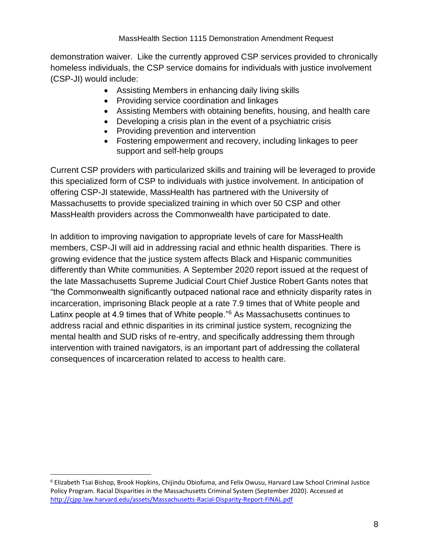demonstration waiver. Like the currently approved CSP services provided to chronically homeless individuals, the CSP service domains for individuals with justice involvement (CSP-JI) would include:

- Assisting Members in enhancing daily living skills
- Providing service coordination and linkages
- Assisting Members with obtaining benefits, housing, and health care
- Developing a crisis plan in the event of a psychiatric crisis
- Providing prevention and intervention
- Fostering empowerment and recovery, including linkages to peer support and self-help groups

Current CSP providers with particularized skills and training will be leveraged to provide this specialized form of CSP to individuals with justice involvement. In anticipation of offering CSP-JI statewide, MassHealth has partnered with the University of Massachusetts to provide specialized training in which over 50 CSP and other MassHealth providers across the Commonwealth have participated to date.

In addition to improving navigation to appropriate levels of care for MassHealth members, CSP-JI will aid in addressing racial and ethnic health disparities. There is growing evidence that the justice system affects Black and Hispanic communities differently than White communities. A September 2020 report issued at the request of the late Massachusetts Supreme Judicial Court Chief Justice Robert Gants notes that "the Commonwealth significantly outpaced national race and ethnicity disparity rates in incarceration, imprisoning Black people at a rate 7.9 times that of White people and Latinx people at 4.9 times that of White people."<sup>6</sup> As Massachusetts continues to address racial and ethnic disparities in its criminal justice system, recognizing the mental health and SUD risks of re-entry, and specifically addressing them through intervention with trained navigators, is an important part of addressing the collateral consequences of incarceration related to access to health care.

<sup>6</sup> Elizabeth Tsai Bishop, Brook Hopkins, Chijindu Obiofuma, and Felix Owusu, Harvard Law School Criminal Justice Policy Program. Racial Disparities in the Massachusetts Criminal System (September 2020). Accessed at <http://cjpp.law.harvard.edu/assets/Massachusetts-Racial-Disparity-Report-FINAL.pdf>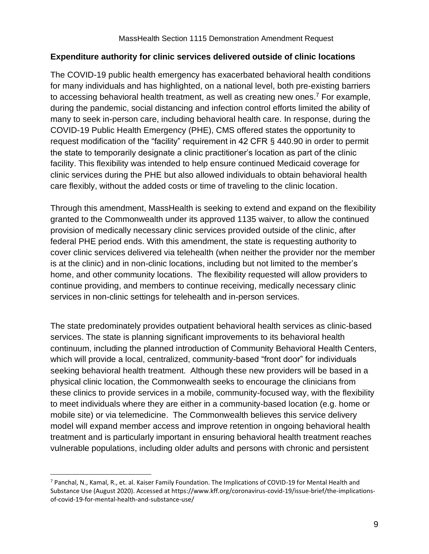#### **Expenditure authority for clinic services delivered outside of clinic locations**

The COVID-19 public health emergency has exacerbated behavioral health conditions for many individuals and has highlighted, on a national level, both pre-existing barriers to accessing behavioral health treatment, as well as creating new ones.<sup>7</sup> For example, during the pandemic, social distancing and infection control efforts limited the ability of many to seek in-person care, including behavioral health care. In response, during the COVID-19 Public Health Emergency (PHE), CMS offered states the opportunity to request modification of the "facility" requirement in 42 CFR § 440.90 in order to permit the state to temporarily designate a clinic practitioner's location as part of the clinic facility. This flexibility was intended to help ensure continued Medicaid coverage for clinic services during the PHE but also allowed individuals to obtain behavioral health care flexibly, without the added costs or time of traveling to the clinic location.

Through this amendment, MassHealth is seeking to extend and expand on the flexibility granted to the Commonwealth under its approved 1135 waiver, to allow the continued provision of medically necessary clinic services provided outside of the clinic, after federal PHE period ends. With this amendment, the state is requesting authority to cover clinic services delivered via telehealth (when neither the provider nor the member is at the clinic) and in non-clinic locations, including but not limited to the member's home, and other community locations. The flexibility requested will allow providers to continue providing, and members to continue receiving, medically necessary clinic services in non-clinic settings for telehealth and in-person services.

The state predominately provides outpatient behavioral health services as clinic-based services. The state is planning significant improvements to its behavioral health continuum, including the planned introduction of Community Behavioral Health Centers, which will provide a local, centralized, community-based "front door" for individuals seeking behavioral health treatment. Although these new providers will be based in a physical clinic location, the Commonwealth seeks to encourage the clinicians from these clinics to provide services in a mobile, community-focused way, with the flexibility to meet individuals where they are either in a community-based location (e.g. home or mobile site) or via telemedicine. The Commonwealth believes this service delivery model will expand member access and improve retention in ongoing behavioral health treatment and is particularly important in ensuring behavioral health treatment reaches vulnerable populations, including older adults and persons with chronic and persistent

<sup>7</sup> Panchal, N., Kamal, R., et. al. Kaiser Family Foundation. The Implications of COVID-19 for Mental Health and Substance Use (August 2020). Accessed at https://www.kff.org/coronavirus-covid-19/issue-brief/the-implicationsof-covid-19-for-mental-health-and-substance-use/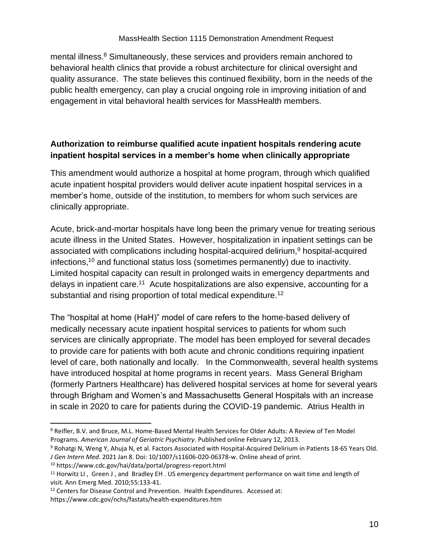mental illness.<sup>8</sup> Simultaneously, these services and providers remain anchored to behavioral health clinics that provide a robust architecture for clinical oversight and quality assurance. The state believes this continued flexibility, born in the needs of the public health emergency, can play a crucial ongoing role in improving initiation of and engagement in vital behavioral health services for MassHealth members.

# **Authorization to reimburse qualified acute inpatient hospitals rendering acute inpatient hospital services in a member's home when clinically appropriate**

This amendment would authorize a hospital at home program, through which qualified acute inpatient hospital providers would deliver acute inpatient hospital services in a member's home, outside of the institution, to members for whom such services are clinically appropriate.

Acute, brick-and-mortar hospitals have long been the primary venue for treating serious acute illness in the United States. However, hospitalization in inpatient settings can be associated with complications including hospital-acquired delirium,<sup>9</sup> hospital-acquired infections,<sup>10</sup> and functional status loss (sometimes permanently) due to inactivity. Limited hospital capacity can result in prolonged waits in emergency departments and delays in inpatient care.<sup>11</sup> Acute hospitalizations are also expensive, accounting for a substantial and rising proportion of total medical expenditure.<sup>12</sup>

The "hospital at home (HaH)" model of care refers to the home-based delivery of medically necessary acute inpatient hospital services to patients for whom such services are clinically appropriate. The model has been employed for several decades to provide care for patients with both acute and chronic conditions requiring inpatient level of care, both nationally and locally. In the Commonwealth, several health systems have introduced hospital at home programs in recent years. Mass General Brigham (formerly Partners Healthcare) has delivered hospital services at home for several years through Brigham and Women's and Massachusetts General Hospitals with an increase in scale in 2020 to care for patients during the COVID-19 pandemic. Atrius Health in

<sup>8</sup> Reifler, B.V. and Bruce, M.L. Home-Based Mental Health Services for Older Adults: A Review of Ten Model Programs. *American Journal of Geriatric Psychiatry.* Published online February 12, 2013.

<sup>9</sup> Rohatgi N, Weng Y, Ahuja N, et al. Factors Associated with Hospital-Acquired Delirium in Patients 18-65 Years Old. *J Gen Intern Med*. 2021 Jan 8. Doi: 10/1007/s11606-020-06378-w. Online ahead of print.

<sup>10</sup> https://www.cdc.gov/hai/data/portal/progress-report.html

<sup>&</sup>lt;sup>11</sup> Horwitz LI, Green J, and Bradley EH. US emergency department performance on wait time and length of visit. Ann Emerg Med. 2010;55:133-41.

<sup>&</sup>lt;sup>12</sup> Centers for Disease Control and Prevention. Health Expenditures. Accessed at:

https://www.cdc.gov/nchs/fastats/health-expenditures.htm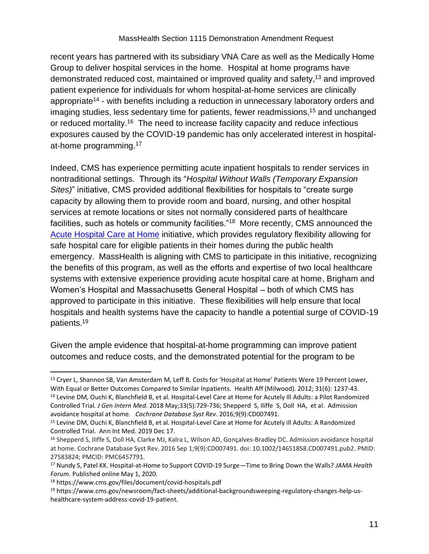recent years has partnered with its subsidiary VNA Care as well as the Medically Home Group to deliver hospital services in the home. Hospital at home programs have demonstrated reduced cost, maintained or improved quality and safety,<sup>13</sup> and improved patient experience for individuals for whom hospital-at-home services are clinically appropriate<sup>14</sup> - with benefits including a reduction in unnecessary laboratory orders and imaging studies, less sedentary time for patients, fewer readmissions, <sup>15</sup> and unchanged or reduced mortality.<sup>16</sup> The need to increase facility capacity and reduce infectious exposures caused by the COVID-19 pandemic has only accelerated interest in hospitalat-home programming.<sup>17</sup>

Indeed, CMS has experience permitting acute inpatient hospitals to render services in nontraditional settings. Through its "*Hospital Without Walls (Temporary Expansion Sites)*" initiative, CMS provided additional flexibilities for hospitals to "create surge capacity by allowing them to provide room and board, nursing, and other hospital services at remote locations or sites not normally considered parts of healthcare facilities, such as hotels or community facilities."<sup>18</sup> More recently, CMS announced the [Acute Hospital Care at Home](https://www.cms.gov/newsroom/press-releases/cms-announces-comprehensive-strategy-enhance-hospital-capacity-amid-covid-19-surge) initiative, which provides regulatory flexibility allowing for safe hospital care for eligible patients in their homes during the public health emergency. MassHealth is aligning with CMS to participate in this initiative, recognizing the benefits of this program, as well as the efforts and expertise of two local healthcare systems with extensive experience providing acute hospital care at home, Brigham and Women's Hospital and Massachusetts General Hospital – both of which CMS has approved to participate in this initiative. These flexibilities will help ensure that local hospitals and health systems have the capacity to handle a potential surge of COVID-19 patients.<sup>19</sup>

Given the ample evidence that hospital-at-home programming can improve patient outcomes and reduce costs, and the demonstrated potential for the program to be

<sup>13</sup> Cryer L, Shannon SB, Van Amsterdam M, Leff B. Costs for 'Hospital at Home' Patients Were 19 Percent Lower, With Equal or Better Outcomes Compared to Similar Inpatients. Health Aff (Milwood). 2012; 31(6): 1237-43. <sup>14</sup> Levine DM, Ouchi K, Blanchfield B, et al. Hospital-Level Care at Home for Acutely Ill Adults: a Pilot Randomized

Controlled Trial*. J Gen Intern Med*. 2018 May;33(5):729-736; Shepperd S, Iliffe S, Doll HA, et al. Admission avoidance hospital at home. *Cochrane Database Syst Rev*. 2016;9(9):CD007491.

<sup>15</sup> Levine DM, Ouchi K, Blanchfield B, et al. Hospital-Level Care at Home for Acutely ill Adults: A Randomized Controlled Trial. Ann Int Med. 2019 Dec 17.

<sup>16</sup> Shepperd S, Iliffe S, Doll HA, Clarke MJ, Kalra L, Wilson AD, Gonçalves-Bradley DC. Admission avoidance hospital at home. Cochrane Database Syst Rev. 2016 Sep 1;9(9):CD007491. doi: 10.1002/14651858.CD007491.pub2. PMID: 27583824; PMCID: PMC6457791.

<sup>17</sup> Nundy S, Patel KK. Hospital-at-Home to Support COVID-19 Surge—Time to Bring Down the Walls? *JAMA Health Forum.* Published online May 1, 2020.

<sup>18</sup> https://www.cms.gov/files/document/covid-hospitals.pdf

<sup>19</sup> https://www.cms.gov/newsroom/fact-sheets/additional-backgroundsweeping-regulatory-changes-help-ushealthcare-system-address-covid-19-patient.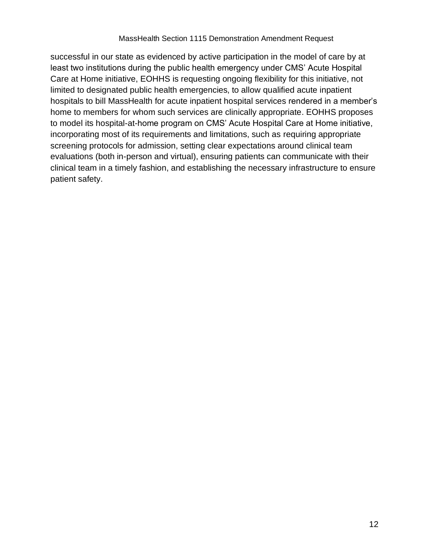successful in our state as evidenced by active participation in the model of care by at least two institutions during the public health emergency under CMS' Acute Hospital Care at Home initiative, EOHHS is requesting ongoing flexibility for this initiative, not limited to designated public health emergencies, to allow qualified acute inpatient hospitals to bill MassHealth for acute inpatient hospital services rendered in a member's home to members for whom such services are clinically appropriate. EOHHS proposes to model its hospital-at-home program on CMS' Acute Hospital Care at Home initiative, incorporating most of its requirements and limitations, such as requiring appropriate screening protocols for admission, setting clear expectations around clinical team evaluations (both in-person and virtual), ensuring patients can communicate with their clinical team in a timely fashion, and establishing the necessary infrastructure to ensure patient safety.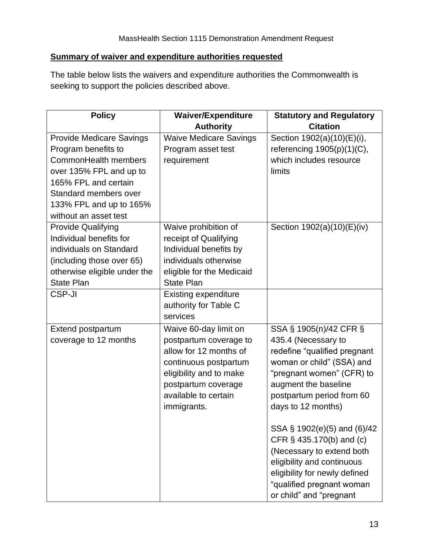# **Summary of waiver and expenditure authorities requested**

The table below lists the waivers and expenditure authorities the Commonwealth is seeking to support the policies described above.

| <b>Policy</b>                   | Waiver/Expenditure<br><b>Authority</b>          | <b>Statutory and Regulatory</b><br><b>Citation</b> |
|---------------------------------|-------------------------------------------------|----------------------------------------------------|
| <b>Provide Medicare Savings</b> | <b>Waive Medicare Savings</b>                   | Section 1902(a)(10)(E)(i),                         |
| Program benefits to             | Program asset test                              | referencing $1905(p)(1)(C)$ ,                      |
| CommonHealth members            | requirement                                     | which includes resource                            |
| over 135% FPL and up to         |                                                 | limits                                             |
| 165% FPL and certain            |                                                 |                                                    |
| Standard members over           |                                                 |                                                    |
| 133% FPL and up to 165%         |                                                 |                                                    |
| without an asset test           |                                                 |                                                    |
| <b>Provide Qualifying</b>       | Waive prohibition of                            |                                                    |
| Individual benefits for         |                                                 | Section 1902(a)(10)(E)(iv)                         |
| individuals on Standard         | receipt of Qualifying                           |                                                    |
|                                 | Individual benefits by<br>individuals otherwise |                                                    |
| (including those over 65)       |                                                 |                                                    |
| otherwise eligible under the    | eligible for the Medicaid<br><b>State Plan</b>  |                                                    |
| <b>State Plan</b><br>CSP-JI     |                                                 |                                                    |
|                                 | <b>Existing expenditure</b>                     |                                                    |
|                                 | authority for Table C                           |                                                    |
|                                 | services                                        |                                                    |
| <b>Extend postpartum</b>        | Waive 60-day limit on                           | SSA § 1905(n)/42 CFR §                             |
| coverage to 12 months           | postpartum coverage to                          | 435.4 (Necessary to                                |
|                                 | allow for 12 months of                          | redefine "qualified pregnant                       |
|                                 | continuous postpartum                           | woman or child" (SSA) and                          |
|                                 | eligibility and to make                         | "pregnant women" (CFR) to                          |
|                                 | postpartum coverage                             | augment the baseline                               |
|                                 | available to certain                            | postpartum period from 60                          |
|                                 | immigrants.                                     | days to 12 months)                                 |
|                                 |                                                 | SSA § 1902(e)(5) and (6)/42                        |
|                                 |                                                 | CFR § 435.170(b) and (c)                           |
|                                 |                                                 | (Necessary to extend both                          |
|                                 |                                                 | eligibility and continuous                         |
|                                 |                                                 | eligibility for newly defined                      |
|                                 |                                                 | "qualified pregnant woman                          |
|                                 |                                                 | or child" and "pregnant                            |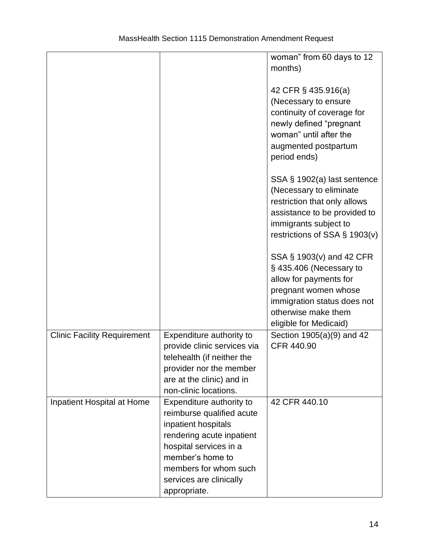|                                    |                             | woman" from 60 days to 12        |
|------------------------------------|-----------------------------|----------------------------------|
|                                    |                             | months)                          |
|                                    |                             |                                  |
|                                    |                             | 42 CFR § 435.916(a)              |
|                                    |                             | (Necessary to ensure             |
|                                    |                             | continuity of coverage for       |
|                                    |                             | newly defined "pregnant          |
|                                    |                             | woman" until after the           |
|                                    |                             |                                  |
|                                    |                             | augmented postpartum             |
|                                    |                             | period ends)                     |
|                                    |                             | SSA § 1902(a) last sentence      |
|                                    |                             | (Necessary to eliminate          |
|                                    |                             | restriction that only allows     |
|                                    |                             | assistance to be provided to     |
|                                    |                             | immigrants subject to            |
|                                    |                             | restrictions of SSA $\S$ 1903(v) |
|                                    |                             |                                  |
|                                    |                             | SSA § 1903(v) and 42 CFR         |
|                                    |                             | §435.406 (Necessary to           |
|                                    |                             | allow for payments for           |
|                                    |                             | pregnant women whose             |
|                                    |                             | immigration status does not      |
|                                    |                             | otherwise make them              |
|                                    |                             | eligible for Medicaid)           |
| <b>Clinic Facility Requirement</b> | Expenditure authority to    | Section 1905(a)(9) and 42        |
|                                    | provide clinic services via | CFR 440.90                       |
|                                    | telehealth (if neither the  |                                  |
|                                    | provider nor the member     |                                  |
|                                    | are at the clinic) and in   |                                  |
|                                    | non-clinic locations.       |                                  |
| Inpatient Hospital at Home         | Expenditure authority to    | 42 CFR 440.10                    |
|                                    | reimburse qualified acute   |                                  |
|                                    | inpatient hospitals         |                                  |
|                                    | rendering acute inpatient   |                                  |
|                                    | hospital services in a      |                                  |
|                                    | member's home to            |                                  |
|                                    | members for whom such       |                                  |
|                                    | services are clinically     |                                  |
|                                    |                             |                                  |
|                                    | appropriate.                |                                  |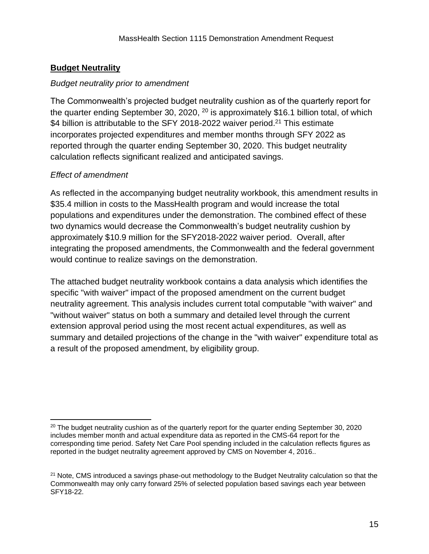# **Budget Neutrality**

#### *Budget neutrality prior to amendment*

The Commonwealth's projected budget neutrality cushion as of the quarterly report for the quarter ending September 30, 2020,  $^{20}$  is approximately \$16.1 billion total, of which \$4 billion is attributable to the SFY 2018-2022 waiver period.<sup>21</sup> This estimate incorporates projected expenditures and member months through SFY 2022 as reported through the quarter ending September 30, 2020. This budget neutrality calculation reflects significant realized and anticipated savings.

# *Effect of amendment*

As reflected in the accompanying budget neutrality workbook, this amendment results in \$35.4 million in costs to the MassHealth program and would increase the total populations and expenditures under the demonstration. The combined effect of these two dynamics would decrease the Commonwealth's budget neutrality cushion by approximately \$10.9 million for the SFY2018-2022 waiver period. Overall, after integrating the proposed amendments, the Commonwealth and the federal government would continue to realize savings on the demonstration.

The attached budget neutrality workbook contains a data analysis which identifies the specific "with waiver" impact of the proposed amendment on the current budget neutrality agreement. This analysis includes current total computable "with waiver" and "without waiver" status on both a summary and detailed level through the current extension approval period using the most recent actual expenditures, as well as summary and detailed projections of the change in the "with waiver" expenditure total as a result of the proposed amendment, by eligibility group.

 $20$  The budget neutrality cushion as of the quarterly report for the quarter ending September 30, 2020 includes member month and actual expenditure data as reported in the CMS-64 report for the corresponding time period. Safety Net Care Pool spending included in the calculation reflects figures as reported in the budget neutrality agreement approved by CMS on November 4, 2016..

<sup>&</sup>lt;sup>21</sup> Note, CMS introduced a savings phase-out methodology to the Budget Neutrality calculation so that the Commonwealth may only carry forward 25% of selected population based savings each year between SFY18-22.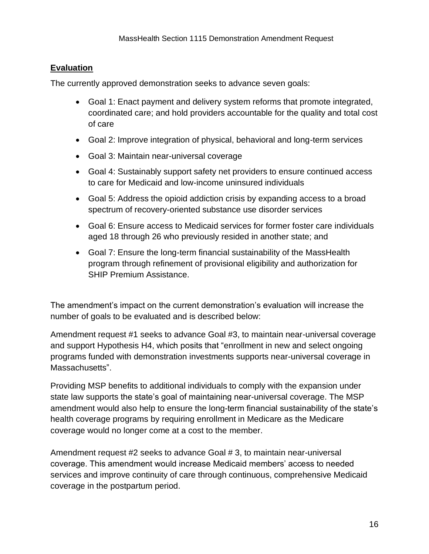## **Evaluation**

The currently approved demonstration seeks to advance seven goals:

- Goal 1: Enact payment and delivery system reforms that promote integrated, coordinated care; and hold providers accountable for the quality and total cost of care
- Goal 2: Improve integration of physical, behavioral and long-term services
- Goal 3: Maintain near-universal coverage
- Goal 4: Sustainably support safety net providers to ensure continued access to care for Medicaid and low-income uninsured individuals
- Goal 5: Address the opioid addiction crisis by expanding access to a broad spectrum of recovery-oriented substance use disorder services
- Goal 6: Ensure access to Medicaid services for former foster care individuals aged 18 through 26 who previously resided in another state; and
- Goal 7: Ensure the long-term financial sustainability of the MassHealth program through refinement of provisional eligibility and authorization for SHIP Premium Assistance.

The amendment's impact on the current demonstration's evaluation will increase the number of goals to be evaluated and is described below:

Amendment request #1 seeks to advance Goal #3, to maintain near-universal coverage and support Hypothesis H4, which posits that "enrollment in new and select ongoing programs funded with demonstration investments supports near-universal coverage in Massachusetts".

Providing MSP benefits to additional individuals to comply with the expansion under state law supports the state's goal of maintaining near-universal coverage. The MSP amendment would also help to ensure the long-term financial sustainability of the state's health coverage programs by requiring enrollment in Medicare as the Medicare coverage would no longer come at a cost to the member.

Amendment request #2 seeks to advance Goal # 3, to maintain near-universal coverage. This amendment would increase Medicaid members' access to needed services and improve continuity of care through continuous, comprehensive Medicaid coverage in the postpartum period.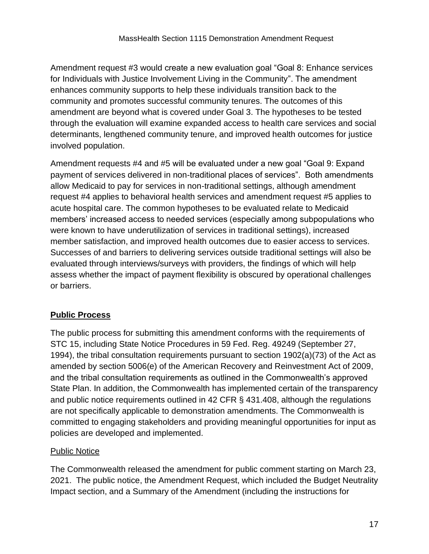Amendment request #3 would create a new evaluation goal "Goal 8: Enhance services for Individuals with Justice Involvement Living in the Community". The amendment enhances community supports to help these individuals transition back to the community and promotes successful community tenures. The outcomes of this amendment are beyond what is covered under Goal 3. The hypotheses to be tested through the evaluation will examine expanded access to health care services and social determinants, lengthened community tenure, and improved health outcomes for justice involved population.

Amendment requests #4 and #5 will be evaluated under a new goal "Goal 9: Expand payment of services delivered in non-traditional places of services". Both amendments allow Medicaid to pay for services in non-traditional settings, although amendment request #4 applies to behavioral health services and amendment request #5 applies to acute hospital care. The common hypotheses to be evaluated relate to Medicaid members' increased access to needed services (especially among subpopulations who were known to have underutilization of services in traditional settings), increased member satisfaction, and improved health outcomes due to easier access to services. Successes of and barriers to delivering services outside traditional settings will also be evaluated through interviews/surveys with providers, the findings of which will help assess whether the impact of payment flexibility is obscured by operational challenges or barriers.

# **Public Process**

The public process for submitting this amendment conforms with the requirements of STC 15, including State Notice Procedures in 59 Fed. Reg. 49249 (September 27, 1994), the tribal consultation requirements pursuant to section 1902(a)(73) of the Act as amended by section 5006(e) of the American Recovery and Reinvestment Act of 2009, and the tribal consultation requirements as outlined in the Commonwealth's approved State Plan. In addition, the Commonwealth has implemented certain of the transparency and public notice requirements outlined in 42 CFR § 431.408, although the regulations are not specifically applicable to demonstration amendments. The Commonwealth is committed to engaging stakeholders and providing meaningful opportunities for input as policies are developed and implemented.

# Public Notice

The Commonwealth released the amendment for public comment starting on March 23, 2021. The public notice, the Amendment Request, which included the Budget Neutrality Impact section, and a Summary of the Amendment (including the instructions for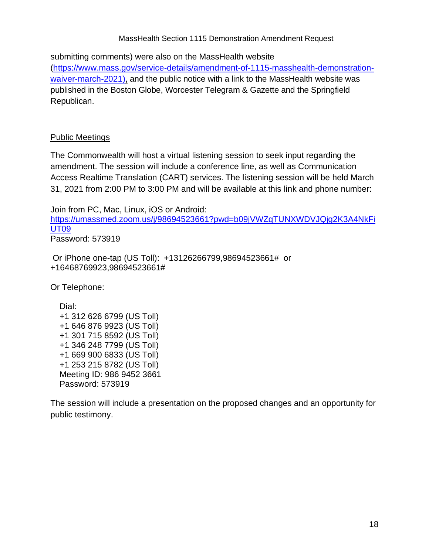#### MassHealth Section 1115 Demonstration Amendment Request

submitting comments) were also on the MassHealth website [\(https://www.mass.gov/service-details/amendment-of-1115-masshealth-demonstration](https://edit.mass.gov/service-details/amendment-of-1115-masshealth-demonstration-waiver-march-2021)[waiver-march-2021](https://edit.mass.gov/service-details/amendment-of-1115-masshealth-demonstration-waiver-march-2021)[\),](http://)/) and the public notice with a link to the MassHealth website was published in the Boston Globe, Worcester Telegram & Gazette and the Springfield Republican.

#### Public Meetings

The Commonwealth will host a virtual listening session to seek input regarding the amendment. The session will include a conference line, as well as Communication Access Realtime Translation (CART) services. The listening session will be held March 31, 2021 from 2:00 PM to 3:00 PM and will be available at this link and phone number:

Join from PC, Mac, Linux, iOS or Android: [https://umassmed.zoom.us/j/98694523661?pwd=b09jVWZqTUNXWDVJQjg2K3A4NkFi](https://urldefense.com/v3/__https:/umassmed.zoom.us/j/98694523661?pwd=b09jVWZqTUNXWDVJQjg2K3A4NkFiUT09__;!!CUhgQOZqV7M!39fK_-7w82-P7QtwiH6na6pyvS40XiIG3Pl88k3BsKWnEEC0_-_QqLLJB6kswMvGkoRZfoOL1w$) [UT09](https://urldefense.com/v3/__https:/umassmed.zoom.us/j/98694523661?pwd=b09jVWZqTUNXWDVJQjg2K3A4NkFiUT09__;!!CUhgQOZqV7M!39fK_-7w82-P7QtwiH6na6pyvS40XiIG3Pl88k3BsKWnEEC0_-_QqLLJB6kswMvGkoRZfoOL1w$)  Password: 573919

Or iPhone one-tap (US Toll): +13126266799,98694523661# or +16468769923,98694523661#

Or Telephone:

 Dial: +1 312 626 6799 (US Toll) +1 646 876 9923 (US Toll) +1 301 715 8592 (US Toll) +1 346 248 7799 (US Toll) +1 669 900 6833 (US Toll) +1 253 215 8782 (US Toll) Meeting ID: 986 9452 3661 Password: 573919

The session will include a presentation on the proposed changes and an opportunity for public testimony.